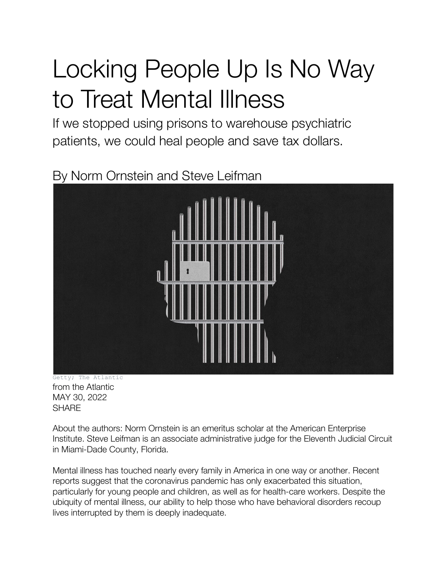## Locking People Up Is No Way to Treat Mental Illness

If we stopped using prisons to warehouse psychiatric patients, we could heal people and save tax dollars.

## By Norm Ornstein and Steve Leifman

Getty; The Atlantic from the Atlantic MAY 30, 2022 **SHARE** 

About the authors: Norm Ornstein is an emeritus scholar at the American Enterprise Institute. Steve Leifman is an associate administrative judge for the Eleventh Judicial Circuit in Miami-Dade County, Florida.

Mental illness has touched nearly every family in America in one way or another. Recent reports suggest that the coronavirus pandemic has only exacerbated this situation, particularly for young people and children, as well as for health-care workers. Despite the ubiquity of mental illness, our ability to help those who have behavioral disorders recoup lives interrupted by them is deeply inadequate.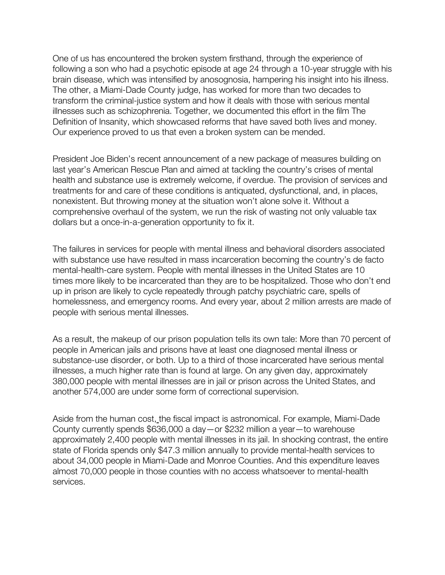One of us has encountered the broken system firsthand, through the experience of following a son who had a psychotic episode at age 24 through a 10-year struggle with his brain disease, which was intensified by anosognosia, hampering his insight into his illness. The other, a Miami-Dade County judge, has worked for more than two decades to transform the criminal-justice system and how it deals with those with serious mental illnesses such as schizophrenia. Together, we documented this effort in the film The Definition of Insanity, which showcased reforms that have saved both lives and money. Our experience proved to us that even a broken system can be mended.

President Joe Biden's recent announcement of a new package of measures building on last year's American Rescue Plan and aimed at tackling the country's crises of mental health and substance use is extremely welcome, if overdue. The provision of services and treatments for and care of these conditions is antiquated, dysfunctional, and, in places, nonexistent. But throwing money at the situation won't alone solve it. Without a comprehensive overhaul of the system, we run the risk of wasting not only valuable tax dollars but a once-in-a-generation opportunity to fix it.

The failures in services for people with mental illness and behavioral disorders associated with substance use have resulted in mass incarceration becoming the country's de facto mental-health-care system. People with mental illnesses in the United States are 10 times more likely to be incarcerated than they are to be hospitalized. Those who don't end up in prison are likely to cycle repeatedly through patchy psychiatric care, spells of homelessness, and emergency rooms. And every year, about 2 million arrests are made of people with serious mental illnesses.

As a result, the makeup of our prison population tells its own tale: More than 70 percent of people in American jails and prisons have at least one diagnosed mental illness or substance-use disorder, or both. Up to a third of those incarcerated have serious mental illnesses, a much higher rate than is found at large. On any given day, approximately 380,000 people with mental illnesses are in jail or prison across the United States, and another 574,000 are under some form of correctional supervision.

Aside from the human cost, the fiscal impact is astronomical. For example, Miami-Dade County currently spends \$636,000 a day—or \$232 million a year—to warehouse approximately 2,400 people with mental illnesses in its jail. In shocking contrast, the entire state of Florida spends only \$47.3 million annually to provide mental-health services to about 34,000 people in Miami-Dade and Monroe Counties. And this expenditure leaves almost 70,000 people in those counties with no access whatsoever to mental-health services.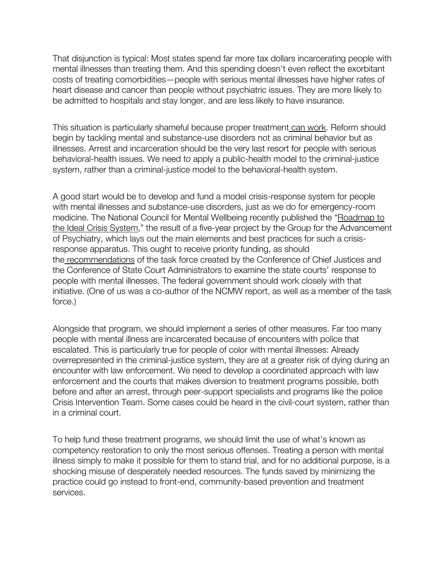That disjunction is typical: Most states spend far more tax dollars incarcerating people with mental illnesses than treating them. And this spending doesn't even reflect the exorbitant costs of treating comorbidities—people with serious mental illnesses have higher rates of heart disease and cancer than people without psychiatric issues. They are more likely to be admitted to hospitals and stay longer, and are less likely to have insurance.

This situation is particularly shameful because proper treatment can work. Reform should begin by tackling mental and substance-use disorders not as criminal behavior but as illnesses. Arrest and incarceration should be the very last resort for people with serious behavioral-health issues. We need to apply a public-health model to the criminal-justice system, rather than a criminal-justice model to the behavioral-health system.

A good start would be to develop and fund a model crisis-response system for people with mental illnesses and substance-use disorders, just as we do for emergency-room medicine. The National Council for Mental Wellbeing recently published the "Roadmap to the Ideal Crisis System," the result of a five-year project by the Group for the Advancement of Psychiatry, which lays out the main elements and best practices for such a crisisresponse apparatus. This ought to receive priority funding, as should the recommendations of the task force created by the Conference of Chief Justices and the Conference of State Court Administrators to examine the state courts' response to people with mental illnesses. The federal government should work closely with that initiative. (One of us was a co-author of the NCMW report, as well as a member of the task force.)

Alongside that program, we should implement a series of other measures. Far too many people with mental illness are incarcerated because of encounters with police that escalated. This is particularly true for people of color with mental illnesses: Already overrepresented in the criminal-justice system, they are at a greater risk of dying during an encounter with law enforcement. We need to develop a coordinated approach with law enforcement and the courts that makes diversion to treatment programs possible, both before and after an arrest, through peer-support specialists and programs like the police Crisis Intervention Team. Some cases could be heard in the civil-court system, rather than in a criminal court.

To help fund these treatment programs, we should limit the use of what's known as competency restoration to only the most serious offenses. Treating a person with mental illness simply to make it possible for them to stand trial, and for no additional purpose, is a shocking misuse of desperately needed resources. The funds saved by minimizing the practice could go instead to front-end, community-based prevention and treatment services.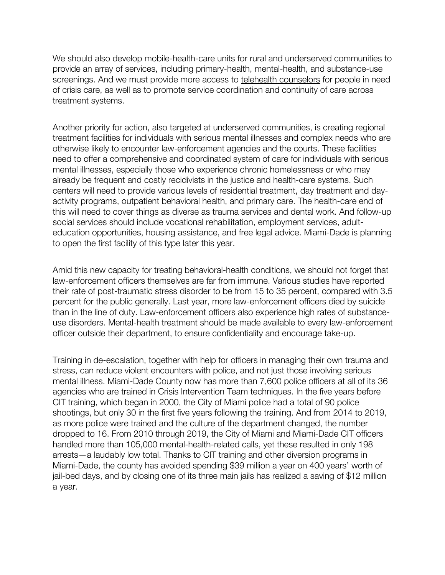We should also develop mobile-health-care units for rural and underserved communities to provide an array of services, including primary-health, mental-health, and substance-use screenings. And we must provide more access to telehealth counselors for people in need of crisis care, as well as to promote service coordination and continuity of care across treatment systems.

Another priority for action, also targeted at underserved communities, is creating regional treatment facilities for individuals with serious mental illnesses and complex needs who are otherwise likely to encounter law-enforcement agencies and the courts. These facilities need to offer a comprehensive and coordinated system of care for individuals with serious mental illnesses, especially those who experience chronic homelessness or who may already be frequent and costly recidivists in the justice and health-care systems. Such centers will need to provide various levels of residential treatment, day treatment and dayactivity programs, outpatient behavioral health, and primary care. The health-care end of this will need to cover things as diverse as trauma services and dental work. And follow-up social services should include vocational rehabilitation, employment services, adulteducation opportunities, housing assistance, and free legal advice. Miami-Dade is planning to open the first facility of this type later this year.

Amid this new capacity for treating behavioral-health conditions, we should not forget that law-enforcement officers themselves are far from immune. Various studies have reported their rate of post-traumatic stress disorder to be from 15 to 35 percent, compared with 3.5 percent for the public generally. Last year, more law-enforcement officers died by suicide than in the line of duty. Law-enforcement officers also experience high rates of substanceuse disorders. Mental-health treatment should be made available to every law-enforcement officer outside their department, to ensure confidentiality and encourage take-up.

Training in de-escalation, together with help for officers in managing their own trauma and stress, can reduce violent encounters with police, and not just those involving serious mental illness. Miami-Dade County now has more than 7,600 police officers at all of its 36 agencies who are trained in Crisis Intervention Team techniques. In the five years before CIT training, which began in 2000, the City of Miami police had a total of 90 police shootings, but only 30 in the first five years following the training. And from 2014 to 2019, as more police were trained and the culture of the department changed, the number dropped to 16. From 2010 through 2019, the City of Miami and Miami-Dade CIT officers handled more than 105,000 mental-health-related calls, yet these resulted in only 198 arrests—a laudably low total. Thanks to CIT training and other diversion programs in Miami-Dade, the county has avoided spending \$39 million a year on 400 years' worth of jail-bed days, and by closing one of its three main jails has realized a saving of \$12 million a year.